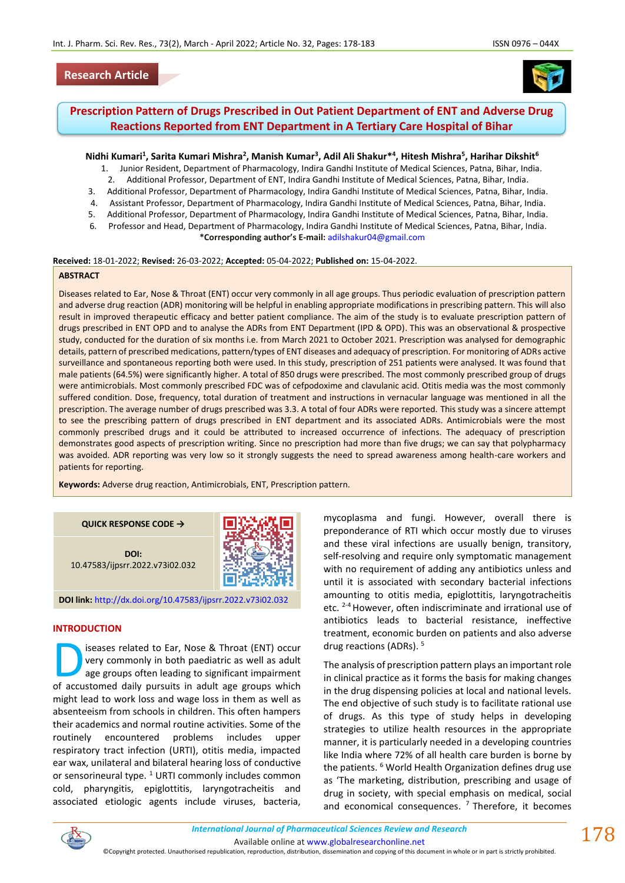# **Research Article**



# **Prescription Pattern of Drugs Prescribed in Out Patient Department of ENT and Adverse Drug Reactions Reported from ENT Department in A Tertiary Care Hospital of Bihar**

## **Nidhi Kumari<sup>1</sup> , Sarita Kumari Mishra<sup>2</sup> , Manish Kumar<sup>3</sup> , Adil Ali Shakur\*<sup>4</sup> , Hitesh Mishra<sup>5</sup> , Harihar Dikshit<sup>6</sup>**

- 1. Junior Resident, Department of Pharmacology, Indira Gandhi Institute of Medical Sciences, Patna, Bihar, India.
- 2. Additional Professor, Department of ENT, Indira Gandhi Institute of Medical Sciences, Patna, Bihar, India.
- 3. Additional Professor, Department of Pharmacology, Indira Gandhi Institute of Medical Sciences, Patna, Bihar, India. 4. Assistant Professor, Department of Pharmacology, Indira Gandhi Institute of Medical Sciences, Patna, Bihar, India.
- 5. Additional Professor, Department of Pharmacology, Indira Gandhi Institute of Medical Sciences, Patna, Bihar, India.
- 6. Professor and Head, Department of Pharmacology, Indira Gandhi Institute of Medical Sciences, Patna, Bihar, India.
- **\*Corresponding author's E-mail:** [adilshakur04@gmail.com](mailto:adilshakur04@gmail.com)

#### **Received:** 18-01-2022; **Revised:** 26-03-2022; **Accepted:** 05-04-2022; **Published on:** 15-04-2022.

#### **ABSTRACT**

Diseases related to Ear, Nose & Throat (ENT) occur very commonly in all age groups. Thus periodic evaluation of prescription pattern and adverse drug reaction (ADR) monitoring will be helpful in enabling appropriate modifications in prescribing pattern. This will also result in improved therapeutic efficacy and better patient compliance. The aim of the study is to evaluate prescription pattern of drugs prescribed in ENT OPD and to analyse the ADRs from ENT Department (IPD & OPD). This was an observational & prospective study, conducted for the duration of six months i.e. from March 2021 to October 2021. Prescription was analysed for demographic details, pattern of prescribed medications, pattern/types of ENT diseases and adequacy of prescription. For monitoring of ADRs active surveillance and spontaneous reporting both were used. In this study, prescription of 251 patients were analysed. It was found that male patients (64.5%) were significantly higher. A total of 850 drugs were prescribed. The most commonly prescribed group of drugs were antimicrobials. Most commonly prescribed FDC was of cefpodoxime and clavulanic acid. Otitis media was the most commonly suffered condition. Dose, frequency, total duration of treatment and instructions in vernacular language was mentioned in all the prescription. The average number of drugs prescribed was 3.3. A total of four ADRs were reported. This study was a sincere attempt to see the prescribing pattern of drugs prescribed in ENT department and its associated ADRs. Antimicrobials were the most commonly prescribed drugs and it could be attributed to increased occurrence of infections. The adequacy of prescription demonstrates good aspects of prescription writing. Since no prescription had more than five drugs; we can say that polypharmacy was avoided. ADR reporting was very low so it strongly suggests the need to spread awareness among health-care workers and patients for reporting.

**Keywords:** Adverse drug reaction, Antimicrobials, ENT, Prescription pattern.

#### **QUICK RESPONSE CODE →**

**DOI:** 10.47583/ijpsrr.2022.v73i02.032



**DOI link:** <http://dx.doi.org/10.47583/ijpsrr.2022.v73i02.032>

#### **INTRODUCTION**

iseases related to Ear, Nose & Throat (ENT) occur very commonly in both paediatric as well as adult age groups often leading to significant impairment Seases related to Ear, Nose & Throat (ENT) occurvery commonly in both paediatric as well as adult age groups often leading to significant impairment of accustomed daily pursuits in adult age groups which might lead to work loss and wage loss in them as well as absenteeism from schools in children. This often hampers their academics and normal routine activities. Some of the routinely encountered problems includes upper respiratory tract infection (URTI), otitis media, impacted ear wax, unilateral and bilateral hearing loss of conductive or sensorineural type. <sup>1</sup> URTI commonly includes common cold, pharyngitis, epiglottitis, laryngotracheitis and associated etiologic agents include viruses, bacteria,

mycoplasma and fungi. However, overall there is preponderance of RTI which occur mostly due to viruses and these viral infections are usually benign, transitory, self-resolving and require only symptomatic management with no requirement of adding any antibiotics unless and until it is associated with secondary bacterial infections amounting to otitis media, epiglottitis, laryngotracheitis etc. <sup>2-4</sup> However, often indiscriminate and irrational use of antibiotics leads to bacterial resistance, ineffective treatment, economic burden on patients and also adverse drug reactions (ADRs). <sup>5</sup>

The analysis of prescription pattern plays an important role in clinical practice as it forms the basis for making changes in the drug dispensing policies at local and national levels. The end objective of such study is to facilitate rational use of drugs. As this type of study helps in developing strategies to utilize health resources in the appropriate manner, it is particularly needed in a developing countries like India where 72% of all health care burden is borne by the patients. <sup>6</sup> World Health Organization defines drug use as 'The marketing, distribution, prescribing and usage of drug in society, with special emphasis on medical, social and economical consequences.  $<sup>7</sup>$  Therefore, it becomes</sup>



©Copyright protected. Unauthorised republication, reproduction, distribution, dissemination and copying of this document in whole or in part is strictly prohibited.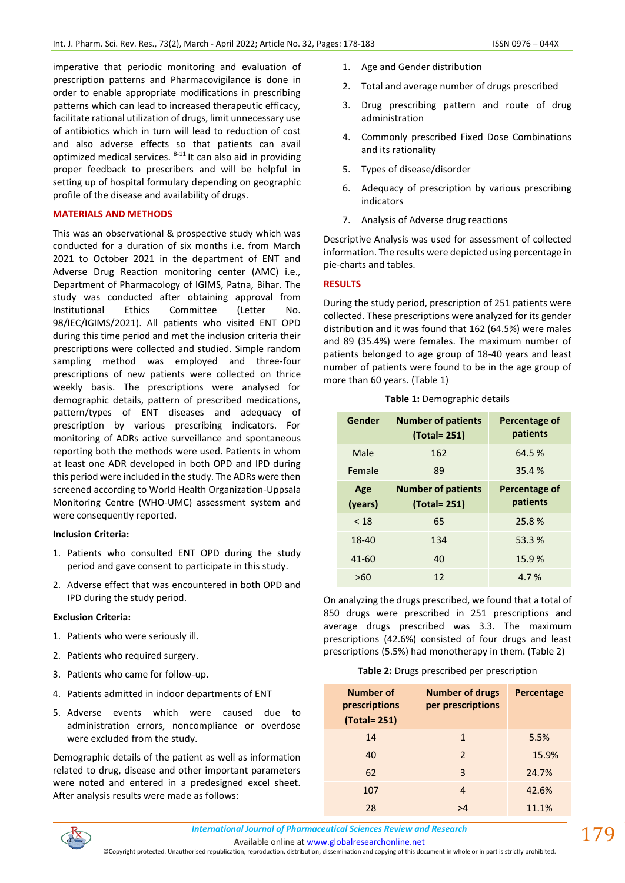imperative that periodic monitoring and evaluation of prescription patterns and Pharmacovigilance is done in order to enable appropriate modifications in prescribing patterns which can lead to increased therapeutic efficacy, facilitate rational utilization of drugs, limit unnecessary use of antibiotics which in turn will lead to reduction of cost and also adverse effects so that patients can avail optimized medical services.  $8-11$  It can also aid in providing proper feedback to prescribers and will be helpful in setting up of hospital formulary depending on geographic profile of the disease and availability of drugs.

## **MATERIALS AND METHODS**

This was an observational & prospective study which was conducted for a duration of six months i.e. from March 2021 to October 2021 in the department of ENT and Adverse Drug Reaction monitoring center (AMC) i.e., Department of Pharmacology of IGIMS, Patna, Bihar. The study was conducted after obtaining approval from Institutional Ethics Committee (Letter No. 98/IEC/IGIMS/2021). All patients who visited ENT OPD during this time period and met the inclusion criteria their prescriptions were collected and studied. Simple random sampling method was employed and three-four prescriptions of new patients were collected on thrice weekly basis. The prescriptions were analysed for demographic details, pattern of prescribed medications, pattern/types of ENT diseases and adequacy of prescription by various prescribing indicators. For monitoring of ADRs active surveillance and spontaneous reporting both the methods were used. Patients in whom at least one ADR developed in both OPD and IPD during this period were included in the study. The ADRs were then screened according to World Health Organization-Uppsala Monitoring Centre (WHO-UMC) assessment system and were consequently reported.

#### **Inclusion Criteria:**

- 1. Patients who consulted ENT OPD during the study period and gave consent to participate in this study.
- 2. Adverse effect that was encountered in both OPD and IPD during the study period.

#### **Exclusion Criteria:**

- 1. Patients who were seriously ill.
- 2. Patients who required surgery.
- 3. Patients who came for follow-up.
- 4. Patients admitted in indoor departments of ENT
- 5. Adverse events which were caused due to administration errors, noncompliance or overdose were excluded from the study.

Demographic details of the patient as well as information related to drug, disease and other important parameters were noted and entered in a predesigned excel sheet. After analysis results were made as follows:

- 1. Age and Gender distribution
- 2. Total and average number of drugs prescribed
- 3. Drug prescribing pattern and route of drug administration
- 4. Commonly prescribed Fixed Dose Combinations and its rationality
- 5. Types of disease/disorder
- 6. Adequacy of prescription by various prescribing indicators
- 7. Analysis of Adverse drug reactions

Descriptive Analysis was used for assessment of collected information. The results were depicted using percentage in pie-charts and tables.

#### **RESULTS**

During the study period, prescription of 251 patients were collected. These prescriptions were analyzed for its gender distribution and it was found that 162 (64.5%) were males and 89 (35.4%) were females. The maximum number of patients belonged to age group of 18-40 years and least number of patients were found to be in the age group of more than 60 years. (Table 1)

| Gender    | <b>Number of patients</b><br>(Total= 251) | Percentage of<br>patients |
|-----------|-------------------------------------------|---------------------------|
| Male      | 162                                       | 64.5%                     |
| Female    | 89                                        | 35.4%                     |
| Age       | <b>Number of patients</b>                 | Percentage of             |
| (years)   | (Total= 251)                              | patients                  |
| < 18      | 65                                        | 25.8%                     |
| 18-40     | 134                                       | 53.3 %                    |
| $41 - 60$ | 40                                        | 15.9%                     |

**Table 1:** Demographic details

On analyzing the drugs prescribed, we found that a total of 850 drugs were prescribed in 251 prescriptions and average drugs prescribed was 3.3. The maximum prescriptions (42.6%) consisted of four drugs and least prescriptions (5.5%) had monotherapy in them. (Table 2)

# **Table 2:** Drugs prescribed per prescription

| <b>Number of</b><br>prescriptions<br>(Total= 251) | <b>Number of drugs</b><br>per prescriptions | Percentage |
|---------------------------------------------------|---------------------------------------------|------------|
| 14                                                | 1                                           | 5.5%       |
| 40                                                | $\mathcal{P}$                               | 15.9%      |
| 62                                                | 3                                           | 24.7%      |
| 107                                               | 4                                           | 42.6%      |
| 28                                                |                                             | 11.1%      |

*International Journal of Pharmaceutical Sciences Review and Research International Journal of Pharmaceutical Sciences Review and Research*

Available online a[t www.globalresearchonline.net](http://www.globalresearchonline.net/)

©Copyright protected. Unauthorised republication, reproduction, distribution, dissemination and copying of this document in whole or in part is strictly prohibited.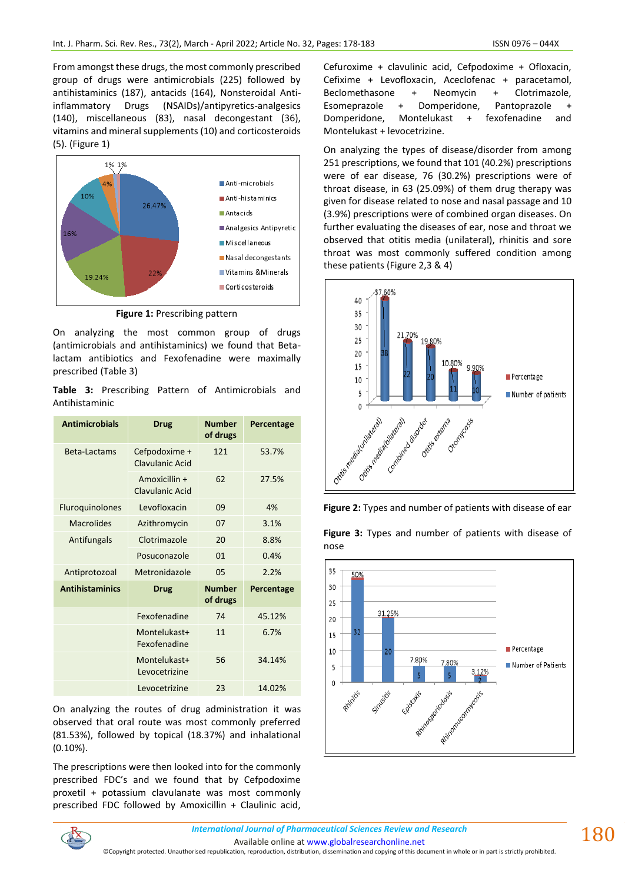From amongst these drugs, the most commonly prescribed group of drugs were antimicrobials (225) followed by antihistaminics (187), antacids (164), Nonsteroidal Antiinflammatory Drugs (NSAIDs)/antipyretics-analgesics (140), miscellaneous (83), nasal decongestant (36), vitamins and mineral supplements (10) and corticosteroids (5). (Figure 1)



**Figure 1:** Prescribing pattern

On analyzing the most common group of drugs (antimicrobials and antihistaminics) we found that Betalactam antibiotics and Fexofenadine were maximally prescribed (Table 3)

**Table 3:** Prescribing Pattern of Antimicrobials and Antihistaminic

| <b>Antimicrobials</b>  | Drug                                | <b>Number</b><br>of drugs | Percentage |
|------------------------|-------------------------------------|---------------------------|------------|
| Beta-Lactams           | Cefpodoxime +<br>Clavulanic Acid    | 121                       | 53.7%      |
|                        | Amoxicillin +<br>Clavulanic Acid    | 62                        | 27.5%      |
| Fluroquinolones        | Levofloxacin                        | 09                        | 4%         |
| <b>Macrolides</b>      | Azithromycin                        | 07                        | 3.1%       |
| Antifungals            | Clotrimazole                        | 20                        | 8.8%       |
|                        | Posuconazole                        | 01                        | 0.4%       |
| Antiprotozoal          | Metronidazole                       | 05                        | 2.2%       |
| <b>Antihistaminics</b> | <b>Drug</b>                         | <b>Number</b><br>of drugs | Percentage |
|                        | Fexofenadine                        | 74                        | 45.12%     |
|                        | Montelukast+<br><b>Fexofenadine</b> | 11                        | 6.7%       |
|                        | Montelukast+<br>Levocetrizine       | 56                        | 34.14%     |
|                        | Levocetrizine                       | 23                        | 14.02%     |

On analyzing the routes of drug administration it was observed that oral route was most commonly preferred (81.53%), followed by topical (18.37%) and inhalational (0.10%).

The prescriptions were then looked into for the commonly prescribed FDC's and we found that by Cefpodoxime proxetil + potassium clavulanate was most commonly prescribed FDC followed by Amoxicillin + Claulinic acid,

Cefuroxime + clavulinic acid, Cefpodoxime + Ofloxacin, Cefixime + Levofloxacin, Aceclofenac + paracetamol, Beclomethasone + Neomycin + Clotrimazole, Esomeprazole + Domperidone, Pantoprazole + Domperidone, Montelukast + fexofenadine and Montelukast + levocetrizine.

On analyzing the types of disease/disorder from among 251 prescriptions, we found that 101 (40.2%) prescriptions were of ear disease, 76 (30.2%) prescriptions were of throat disease, in 63 (25.09%) of them drug therapy was given for disease related to nose and nasal passage and 10 (3.9%) prescriptions were of combined organ diseases. On further evaluating the diseases of ear, nose and throat we observed that otitis media (unilateral), rhinitis and sore throat was most commonly suffered condition among these patients (Figure 2,3 & 4)





**Figure 3:** Types and number of patients with disease of nose



180

Available online a[t www.globalresearchonline.net](http://www.globalresearchonline.net/) ©Copyright protected. Unauthorised republication, reproduction, distribution, dissemination and copying of this document in whole or in part is strictly prohibited.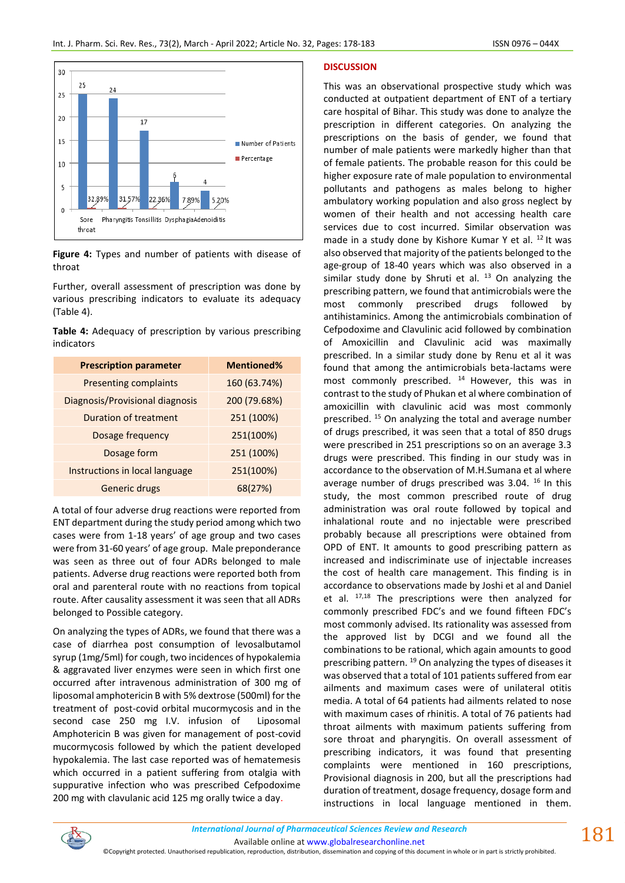

**Figure 4:** Types and number of patients with disease of throat

Further, overall assessment of prescription was done by various prescribing indicators to evaluate its adequacy (Table 4).

**Table 4:** Adequacy of prescription by various prescribing indicators

| <b>Prescription parameter</b>   | <b>Mentioned%</b> |
|---------------------------------|-------------------|
| <b>Presenting complaints</b>    | 160 (63.74%)      |
| Diagnosis/Provisional diagnosis | 200 (79.68%)      |
| Duration of treatment           | 251 (100%)        |
| Dosage frequency                | 251(100%)         |
| Dosage form                     | 251 (100%)        |
| Instructions in local language  | 251(100%)         |
| Generic drugs                   | 68(27%)           |

A total of four adverse drug reactions were reported from ENT department during the study period among which two cases were from 1-18 years' of age group and two cases were from 31-60 years' of age group. Male preponderance was seen as three out of four ADRs belonged to male patients. Adverse drug reactions were reported both from oral and parenteral route with no reactions from topical route. After causality assessment it was seen that all ADRs belonged to Possible category.

On analyzing the types of ADRs, we found that there was a case of diarrhea post consumption of levosalbutamol syrup (1mg/5ml) for cough, two incidences of hypokalemia & aggravated liver enzymes were seen in which first one occurred after intravenous administration of 300 mg of liposomal amphotericin B with 5% dextrose (500ml) for the treatment of post-covid orbital mucormycosis and in the second case 250 mg I.V. infusion of Liposomal Amphotericin B was given for management of post-covid mucormycosis followed by which the patient developed hypokalemia. The last case reported was of hematemesis which occurred in a patient suffering from otalgia with suppurative infection who was prescribed Cefpodoxime 200 mg with clavulanic acid 125 mg orally twice a day.

# **DISCUSSION**

This was an observational prospective study which was conducted at outpatient department of ENT of a tertiary care hospital of Bihar. This study was done to analyze the prescription in different categories. On analyzing the prescriptions on the basis of gender, we found that number of male patients were markedly higher than that of female patients. The probable reason for this could be higher exposure rate of male population to environmental pollutants and pathogens as males belong to higher ambulatory working population and also gross neglect by women of their health and not accessing health care services due to cost incurred. Similar observation was made in a study done by Kishore Kumar Y et al.  $^{12}$  It was also observed that majority of the patients belonged to the age-group of 18-40 years which was also observed in a similar study done by Shruti et al.  $13$  On analyzing the prescribing pattern, we found that antimicrobials were the most commonly prescribed drugs followed by antihistaminics. Among the antimicrobials combination of Cefpodoxime and Clavulinic acid followed by combination of Amoxicillin and Clavulinic acid was maximally prescribed. In a similar study done by Renu et al it was found that among the antimicrobials beta-lactams were most commonly prescribed.  $14$  However, this was in contrast to the study of Phukan et al where combination of amoxicillin with clavulinic acid was most commonly prescribed. <sup>15</sup> On analyzing the total and average number of drugs prescribed, it was seen that a total of 850 drugs were prescribed in 251 prescriptions so on an average 3.3 drugs were prescribed. This finding in our study was in accordance to the observation of M.H.Sumana et al where average number of drugs prescribed was 3.04.<sup>16</sup> In this study, the most common prescribed route of drug administration was oral route followed by topical and inhalational route and no injectable were prescribed probably because all prescriptions were obtained from OPD of ENT. It amounts to good prescribing pattern as increased and indiscriminate use of injectable increases the cost of health care management. This finding is in accordance to observations made by Joshi et al and Daniel et al.  $17,18$  The prescriptions were then analyzed for commonly prescribed FDC's and we found fifteen FDC's most commonly advised. Its rationality was assessed from the approved list by DCGI and we found all the combinations to be rational, which again amounts to good prescribing pattern. <sup>19</sup> On analyzing the types of diseases it was observed that a total of 101 patients suffered from ear ailments and maximum cases were of unilateral otitis media. A total of 64 patients had ailments related to nose with maximum cases of rhinitis. A total of 76 patients had throat ailments with maximum patients suffering from sore throat and pharyngitis. On overall assessment of prescribing indicators, it was found that presenting complaints were mentioned in 160 prescriptions, Provisional diagnosis in 200, but all the prescriptions had duration of treatment, dosage frequency, dosage form and instructions in local language mentioned in them.



©Copyright protected. Unauthorised republication, reproduction, distribution, dissemination and copying of this document in whole or in part is strictly prohibited.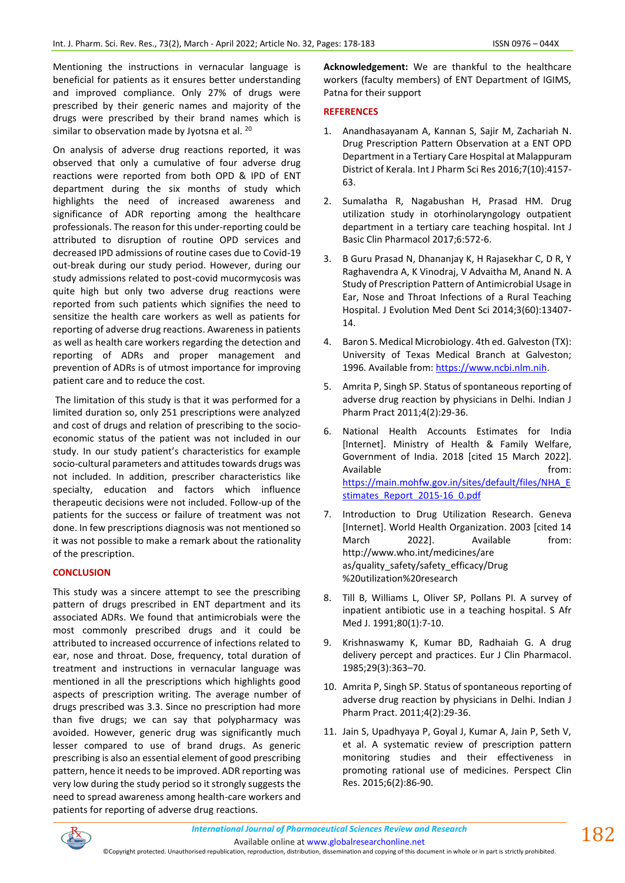Mentioning the instructions in vernacular language is beneficial for patients as it ensures better understanding and improved compliance. Only 27% of drugs were prescribed by their generic names and majority of the drugs were prescribed by their brand names which is similar to observation made by Jyotsna et al. <sup>20</sup>

On analysis of adverse drug reactions reported, it was observed that only a cumulative of four adverse drug reactions were reported from both OPD & IPD of ENT department during the six months of study which highlights the need of increased awareness and significance of ADR reporting among the healthcare professionals. The reason for this under-reporting could be attributed to disruption of routine OPD services and decreased IPD admissions of routine cases due to Covid-19 out-break during our study period. However, during our study admissions related to post-covid mucormycosis was quite high but only two adverse drug reactions were reported from such patients which signifies the need to sensitize the health care workers as well as patients for reporting of adverse drug reactions. Awareness in patients as well as health care workers regarding the detection and reporting of ADRs and proper management and prevention of ADRs is of utmost importance for improving patient care and to reduce the cost.

The limitation of this study is that it was performed for a limited duration so, only 251 prescriptions were analyzed and cost of drugs and relation of prescribing to the socioeconomic status of the patient was not included in our study. In our study patient's characteristics for example socio-cultural parameters and attitudes towards drugs was not included. In addition, prescriber characteristics like specialty, education and factors which influence therapeutic decisions were not included. Follow-up of the patients for the success or failure of treatment was not done. In few prescriptions diagnosis was not mentioned so it was not possible to make a remark about the rationality of the prescription.

# **CONCLUSION**

This study was a sincere attempt to see the prescribing pattern of drugs prescribed in ENT department and its associated ADRs. We found that antimicrobials were the most commonly prescribed drugs and it could be attributed to increased occurrence of infections related to ear, nose and throat. Dose, frequency, total duration of treatment and instructions in vernacular language was mentioned in all the prescriptions which highlights good aspects of prescription writing. The average number of drugs prescribed was 3.3. Since no prescription had more than five drugs; we can say that polypharmacy was avoided. However, generic drug was significantly much lesser compared to use of brand drugs. As generic prescribing is also an essential element of good prescribing pattern, hence it needs to be improved. ADR reporting was very low during the study period so it strongly suggests the need to spread awareness among health-care workers and patients for reporting of adverse drug reactions.

**Acknowledgement:** We are thankful to the healthcare workers (faculty members) of ENT Department of IGIMS, Patna for their support

## **REFERENCES**

- 1. Anandhasayanam A, Kannan S, Sajir M, Zachariah N. Drug Prescription Pattern Observation at a ENT OPD Department in a Tertiary Care Hospital at Malappuram District of Kerala. Int J Pharm Sci Res 2016;7(10):4157- 63.
- 2. Sumalatha R, Nagabushan H, Prasad HM. Drug utilization study in otorhinolaryngology outpatient department in a tertiary care teaching hospital. Int J Basic Clin Pharmacol 2017;6:572-6.
- 3. B Guru Prasad N, Dhananjay K, H Rajasekhar C, D R, Y Raghavendra A, K Vinodraj, V Advaitha M, Anand N. A Study of Prescription Pattern of Antimicrobial Usage in Ear, Nose and Throat Infections of a Rural Teaching Hospital. J Evolution Med Dent Sci 2014;3(60):13407- 14.
- 4. Baron S. Medical Microbiology. 4th ed. Galveston (TX): University of Texas Medical Branch at Galveston; 1996. Available from[: https://www.ncbi.nlm.nih.](https://www.ncbi.nlm.nih/)
- 5. Amrita P, Singh SP. Status of spontaneous reporting of adverse drug reaction by physicians in Delhi. Indian J Pharm Pract 2011;4(2):29-36.
- 6. National Health Accounts Estimates for India [Internet]. Ministry of Health & Family Welfare, Government of India. 2018 [cited 15 March 2022]. Available from: [https://main.mohfw.gov.in/sites/default/files/NHA\\_E](https://main.mohfw.gov.in/sites/default/files/NHA_Estimates_Report_2015-16_0.pdf) [stimates\\_Report\\_2015-16\\_0.pdf](https://main.mohfw.gov.in/sites/default/files/NHA_Estimates_Report_2015-16_0.pdf)
- 7. Introduction to Drug Utilization Research. Geneva [Internet]. World Health Organization. 2003 [cited 14 March 2022]. Available from: http://www.who.int/medicines/are as/quality\_safety/safety\_efficacy/Drug %20utilization%20research
- 8. Till B, Williams L, Oliver SP, Pollans PI. A survey of inpatient antibiotic use in a teaching hospital. S Afr Med J. 1991;80(1):7-10.
- 9. Krishnaswamy K, Kumar BD, Radhaiah G. A drug delivery percept and practices. Eur J Clin Pharmacol. 1985;29(3):363–70.
- 10. Amrita P, Singh SP. Status of spontaneous reporting of adverse drug reaction by physicians in Delhi. Indian J Pharm Pract. 2011;4(2):29-36.
- 11. Jain S, Upadhyaya P, Goyal J, Kumar A, Jain P, Seth V, et al. A systematic review of prescription pattern monitoring studies and their effectiveness in promoting rational use of medicines. Perspect Clin Res. 2015;6(2):86-90.



Available online a[t www.globalresearchonline.net](http://www.globalresearchonline.net/)